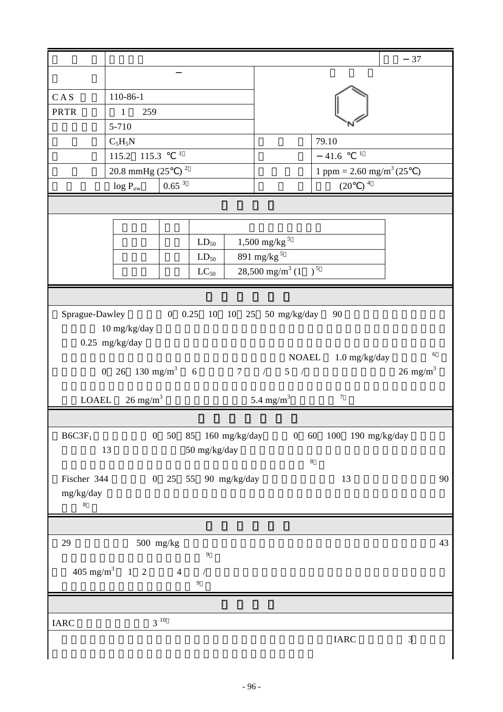|                                                                                                                                             |                                            |          |           |  |                                                                   |                              | 37            |  |
|---------------------------------------------------------------------------------------------------------------------------------------------|--------------------------------------------|----------|-----------|--|-------------------------------------------------------------------|------------------------------|---------------|--|
|                                                                                                                                             |                                            |          |           |  |                                                                   |                              |               |  |
|                                                                                                                                             |                                            |          |           |  |                                                                   |                              |               |  |
| CAS                                                                                                                                         | 110-86-1                                   |          |           |  |                                                                   |                              |               |  |
| <b>PRTR</b>                                                                                                                                 | $\mathbf{1}$<br>259                        |          |           |  |                                                                   |                              |               |  |
|                                                                                                                                             | 5-710                                      |          |           |  |                                                                   |                              |               |  |
|                                                                                                                                             | $C_5H_5N$<br>$\mathbf{1}$                  |          |           |  | 79.10<br>$\mathbf{1}$                                             |                              |               |  |
|                                                                                                                                             | 115.2 115.3                                |          |           |  | 41.6                                                              |                              |               |  |
|                                                                                                                                             | 20.8 mmHg $(25)^2$                         |          |           |  | 1 ppm = $2.60$ mg/m <sup>3</sup> (25<br>$\rightarrow$<br>$(20)^4$ |                              |               |  |
|                                                                                                                                             | 0.65 <sup>3</sup><br>$\log\,{P_{\rm{ow}}}$ |          |           |  |                                                                   |                              |               |  |
|                                                                                                                                             |                                            |          |           |  |                                                                   |                              |               |  |
|                                                                                                                                             |                                            |          |           |  |                                                                   |                              |               |  |
|                                                                                                                                             |                                            |          | $LD_{50}$ |  | $1,500$ mg/kg <sup>5</sup>                                        |                              |               |  |
|                                                                                                                                             |                                            |          | $LD_{50}$ |  | $891$ mg/kg $^5\,$                                                |                              |               |  |
|                                                                                                                                             |                                            |          | $LC_{50}$ |  | $28,500$ mg/m <sup>3</sup> (1)                                    | $\sqrt{5}$                   |               |  |
|                                                                                                                                             |                                            |          |           |  |                                                                   |                              |               |  |
|                                                                                                                                             |                                            |          |           |  |                                                                   |                              |               |  |
| $10 \; mg/kg/day$<br>$0.25$ mg/kg/day<br>6<br>NOAEL 1.0 mg/kg/day<br>0 26 130 mg/m <sup>3</sup> 6 7 / 5 /<br>$26 \text{ mg/m}^3$            |                                            |          |           |  |                                                                   |                              |               |  |
|                                                                                                                                             | LOAEL $26 \text{ mg/m}^3$                  |          |           |  | 5.4 mg/ $m^3$                                                     | $\tau$                       |               |  |
|                                                                                                                                             |                                            |          |           |  |                                                                   |                              |               |  |
| B6C3F <sub>1</sub><br>$0\quad 50$<br>0 60 100 190 mg/kg/day<br>85 $160 \text{ mg/kg/day}$<br>$50 \ \mathrm{mg/kg/day}$<br>13<br>$\,$ 8 $\,$ |                                            |          |           |  |                                                                   |                              |               |  |
| Fischer 344<br>0 25 55 90 mg/kg/day<br>13<br>90<br>mg/kg/day<br>8                                                                           |                                            |          |           |  |                                                                   |                              |               |  |
|                                                                                                                                             |                                            |          |           |  |                                                                   |                              |               |  |
| $500 \ \mathrm{mg/kg}$<br>29<br>43<br>$\overline{9}$                                                                                        |                                            |          |           |  |                                                                   |                              |               |  |
| $405 \text{ mg/m}^3$ 1 2<br>$\overline{4}$                                                                                                  |                                            |          |           |  |                                                                   |                              |               |  |
| 9                                                                                                                                           |                                            |          |           |  |                                                                   |                              |               |  |
|                                                                                                                                             |                                            |          |           |  |                                                                   |                              |               |  |
| <b>IARC</b>                                                                                                                                 |                                            | $3^{10}$ |           |  |                                                                   |                              |               |  |
|                                                                                                                                             |                                            |          |           |  |                                                                   | $\ensuremath{\mathsf{IARC}}$ | $\mathfrak 3$ |  |